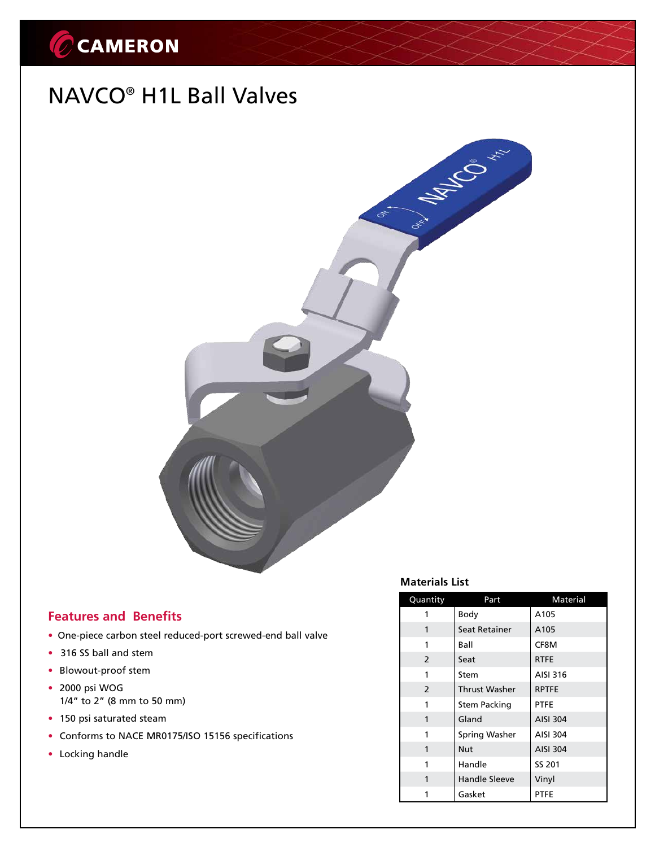# CCAMERON

## NAVCO® H1L Ball Valves



## **Features and Benefits**

- One-piece carbon steel reduced-port screwed-end ball valve
- 316 SS ball and stem
- Blowout-proof stem
- • 2000 psi WOG 1/4" to 2" (8 mm to 50 mm)
- 150 psi saturated steam
- Conforms to NACE MR0175/ISO 15156 specifications
- Locking handle

## **Materials List**

| Quantity      | Part                 | Material        |  |  |
|---------------|----------------------|-----------------|--|--|
| 1             | Body                 | A105            |  |  |
| 1             | Seat Retainer        | A105            |  |  |
| 1             | Ball                 | CF8M            |  |  |
| 2             | Seat                 | <b>RTFE</b>     |  |  |
| 1             | Stem                 | AISI 316        |  |  |
| $\mathcal{P}$ | <b>Thrust Washer</b> | <b>RPTFE</b>    |  |  |
| 1             | Stem Packing         | <b>PTFE</b>     |  |  |
| 1             | Gland                | <b>AISI 304</b> |  |  |
| 1             | Spring Washer        | <b>AISI 304</b> |  |  |
| 1             | <b>Nut</b>           | <b>AISI 304</b> |  |  |
| 1             | Handle               | <b>SS 201</b>   |  |  |
| 1             | <b>Handle Sleeve</b> | Vinyl           |  |  |
| 1             | Gasket               | <b>PTFE</b>     |  |  |